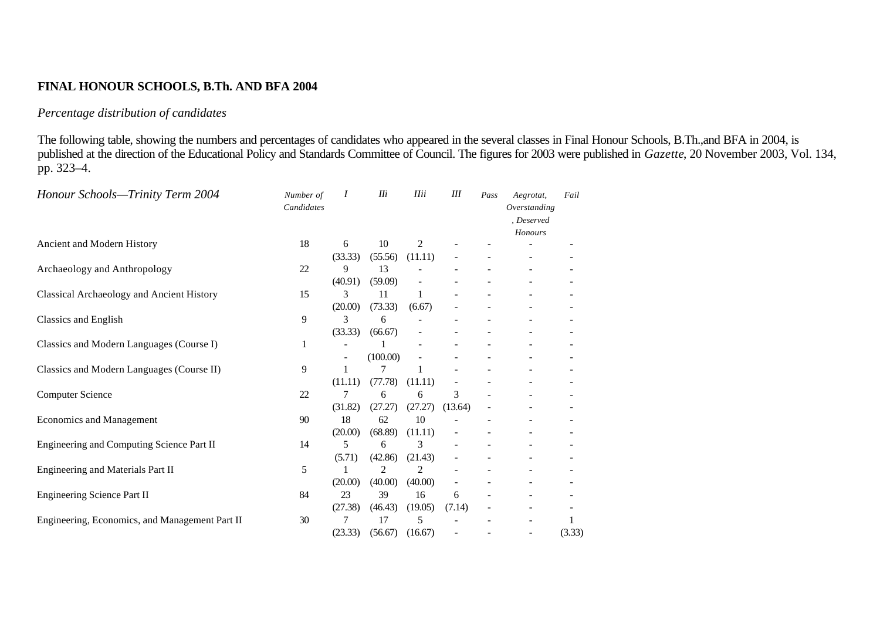## **FINAL HONOUR SCHOOLS, B.Th. AND BFA 2004**

## *Percentage distribution of candidates*

The following table, showing the numbers and percentages of candidates who appeared in the several classes in Final Honour Schools, B.Th.,and BFA in 2004, is published at the direction of the Educational Policy and Standards Committee of Council. The figures for 2003 were published in *Gazette*, 20 November 2003, Vol. 134, pp. 323–4.

| Honour Schools—Trinity Term 2004                 | Number of<br>Candidates | Ι       | IIi      | <b>IIii</b>    | Ш       | Pass | Aegrotat,<br>Overstanding<br>, Deserved<br>Honours | Fail   |
|--------------------------------------------------|-------------------------|---------|----------|----------------|---------|------|----------------------------------------------------|--------|
| Ancient and Modern History                       | 18                      | 6       | 10       | $\overline{2}$ |         |      |                                                    |        |
|                                                  |                         | (33.33) | (55.56)  | (11.11)        |         |      |                                                    |        |
| Archaeology and Anthropology                     | 22                      | 9       | 13       |                |         |      |                                                    |        |
|                                                  |                         | (40.91) | (59.09)  |                |         |      |                                                    |        |
| <b>Classical Archaeology and Ancient History</b> | 15                      | 3       | 11       | 1              |         |      |                                                    |        |
|                                                  |                         | (20.00) | (73.33)  | (6.67)         |         |      |                                                    |        |
| Classics and English                             | 9                       | 3       | 6        |                |         |      |                                                    |        |
|                                                  |                         | (33.33) | (66.67)  |                |         |      |                                                    |        |
| Classics and Modern Languages (Course I)         | 1                       |         |          |                |         |      |                                                    |        |
|                                                  |                         |         | (100.00) |                |         |      |                                                    |        |
| Classics and Modern Languages (Course II)        | 9                       | 1       | 7        | 1              |         |      |                                                    |        |
|                                                  |                         | (11.11) | (77.78)  | (11.11)        |         |      |                                                    |        |
| <b>Computer Science</b>                          | 22                      | 7       | 6        | 6              | 3       |      |                                                    |        |
|                                                  |                         | (31.82) | (27.27)  | (27.27)        | (13.64) |      |                                                    |        |
| <b>Economics and Management</b>                  | 90                      | 18      | 62       | 10             |         |      |                                                    |        |
|                                                  |                         | (20.00) | (68.89)  | (11.11)        |         |      |                                                    |        |
| Engineering and Computing Science Part II        | 14                      | 5       | 6        | 3              |         |      |                                                    |        |
|                                                  |                         | (5.71)  | (42.86)  | (21.43)        |         |      |                                                    |        |
| Engineering and Materials Part II                | 5                       |         | 2        | $\overline{c}$ |         |      |                                                    |        |
|                                                  |                         | (20.00) | (40.00)  | (40.00)        |         |      |                                                    |        |
| <b>Engineering Science Part II</b>               | 84                      | 23      | 39       | 16             | 6       |      |                                                    |        |
|                                                  |                         | (27.38) | (46.43)  | (19.05)        | (7.14)  |      |                                                    |        |
| Engineering, Economics, and Management Part II   | 30                      | 7       | 17       | 5              |         |      |                                                    | 1      |
|                                                  |                         | (23.33) | (56.67)  | (16.67)        |         |      |                                                    | (3.33) |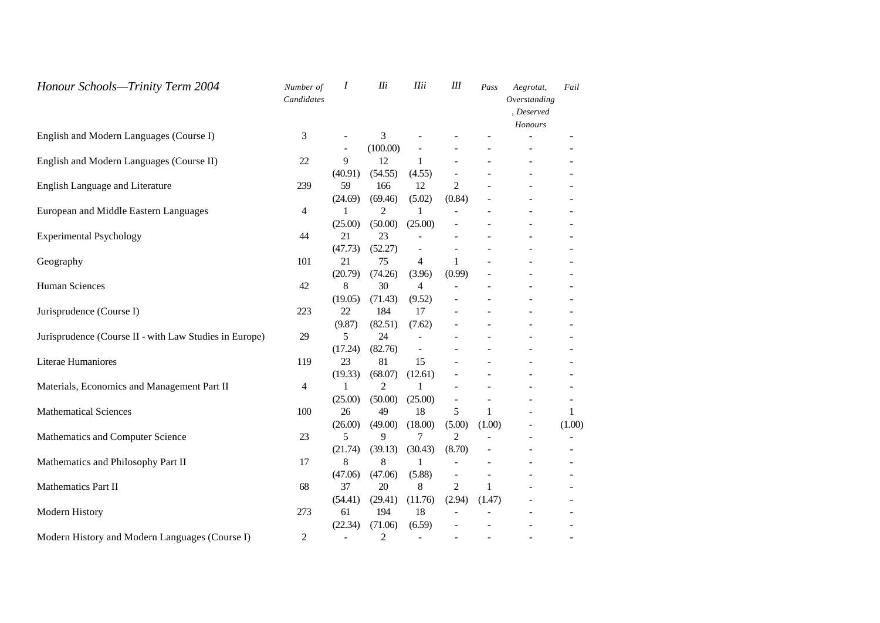| Honour Schools-Trinity Term 2004                       | Number of<br>Candidates | I                        | IIi            | <b>IIii</b>              | $I\!I\!I$                | Pass         | Aegrotat,<br>Overstanding<br>, Deserved<br>Honours | Fail                         |
|--------------------------------------------------------|-------------------------|--------------------------|----------------|--------------------------|--------------------------|--------------|----------------------------------------------------|------------------------------|
| English and Modern Languages (Course I)                | 3                       | $\overline{\phantom{a}}$ | 3              |                          | $\overline{\phantom{0}}$ |              |                                                    | ÷                            |
|                                                        |                         |                          | (100.00)       |                          |                          |              |                                                    |                              |
| English and Modern Languages (Course II)               | 22                      | 9                        | 12             | $\mathbf{1}$             | ÷                        |              |                                                    | $\overline{\phantom{a}}$     |
|                                                        |                         | (40.91)                  | (54.55)        | (4.55)                   |                          |              |                                                    | $\overline{a}$               |
| <b>English Language and Literature</b>                 | 239                     | 59                       | 166            | 12                       | $\overline{2}$           |              |                                                    | $\overline{\phantom{a}}$     |
|                                                        |                         | (24.69)                  | (69.46)        | (5.02)                   | (0.84)                   |              |                                                    |                              |
| European and Middle Eastern Languages                  | 4                       | 1                        | $\overline{c}$ | 1                        |                          |              |                                                    |                              |
|                                                        |                         | (25.00)                  | (50.00)        | (25.00)                  |                          |              |                                                    |                              |
| <b>Experimental Psychology</b>                         | 44                      | 21                       | 23             |                          |                          |              |                                                    |                              |
|                                                        |                         | (47.73)                  | (52.27)        |                          |                          |              |                                                    |                              |
| Geography                                              | 101                     | 21                       | 75             | 4                        | 1                        |              |                                                    |                              |
|                                                        |                         | (20.79)                  | (74.26)        | (3.96)                   | (0.99)                   |              |                                                    |                              |
| <b>Human Sciences</b>                                  | 42                      | 8                        | 30             | 4                        |                          |              |                                                    |                              |
|                                                        |                         | (19.05)                  | (71.43)        | (9.52)                   |                          |              |                                                    |                              |
| Jurisprudence (Course I)                               | 223                     | 22                       | 184            | 17                       |                          |              |                                                    |                              |
|                                                        |                         | (9.87)                   | (82.51)        | (7.62)                   |                          |              |                                                    |                              |
| Jurisprudence (Course II - with Law Studies in Europe) | 29                      | 5                        | 24             |                          |                          |              |                                                    |                              |
|                                                        |                         | (17.24)                  | (82.76)        | $\frac{1}{2}$            |                          |              |                                                    |                              |
| Literae Humaniores                                     | 119                     | 23                       | 81             | 15                       |                          |              |                                                    |                              |
|                                                        |                         | (19.33)                  | (68.07)        | (12.61)                  |                          |              |                                                    | $\overline{\phantom{a}}$     |
| Materials, Economics and Management Part II            | 4                       | 1                        | 2              | 1                        |                          |              |                                                    | $\sim$                       |
|                                                        |                         | (25.00)                  | (50.00)        | (25.00)                  | $\overline{\phantom{0}}$ | ۰            |                                                    | $\overline{\phantom{a}}$     |
| <b>Mathematical Sciences</b>                           | 100                     | 26                       | 49             | 18                       | 5                        | $\mathbf{1}$ |                                                    | 1                            |
|                                                        |                         | (26.00)                  | (49.00)        | (18.00)                  | (5.00)                   | (1.00)       | $\overline{a}$                                     | (1.00)                       |
| Mathematics and Computer Science                       | 23                      | 5                        | 9              | 7                        | $\overline{c}$           |              | $\overline{\phantom{0}}$                           | $\qquad \qquad \blacksquare$ |
|                                                        |                         | (21.74)                  | (39.13)        | (30.43)                  | (8.70)                   |              | $\overline{a}$                                     | $\overline{\phantom{a}}$     |
| Mathematics and Philosophy Part II                     | 17                      | 8                        | 8              | 1                        |                          | ÷            |                                                    | $\overline{\phantom{a}}$     |
|                                                        |                         | (47.06)                  | (47.06)        | (5.88)                   | $\overline{\phantom{0}}$ | -            |                                                    | ۰                            |
| Mathematics Part II                                    | 68                      | 37                       | 20             | 8                        | $\overline{c}$           | $\mathbf{1}$ |                                                    | $\overline{\phantom{a}}$     |
|                                                        |                         | (54.41)                  | (29.41)        | (11.76)                  | (2.94)                   | (1.47)       |                                                    | $\overline{\phantom{a}}$     |
| Modern History                                         | 273                     | 61                       | 194            | 18                       |                          |              |                                                    | $\overline{\phantom{a}}$     |
|                                                        |                         | (22.34)                  | (71.06)        | (6.59)                   |                          |              |                                                    | $\overline{\phantom{a}}$     |
| Modern History and Modern Languages (Course I)         | $\overline{c}$          | $\overline{\phantom{0}}$ | 2              | $\overline{\phantom{a}}$ |                          |              |                                                    |                              |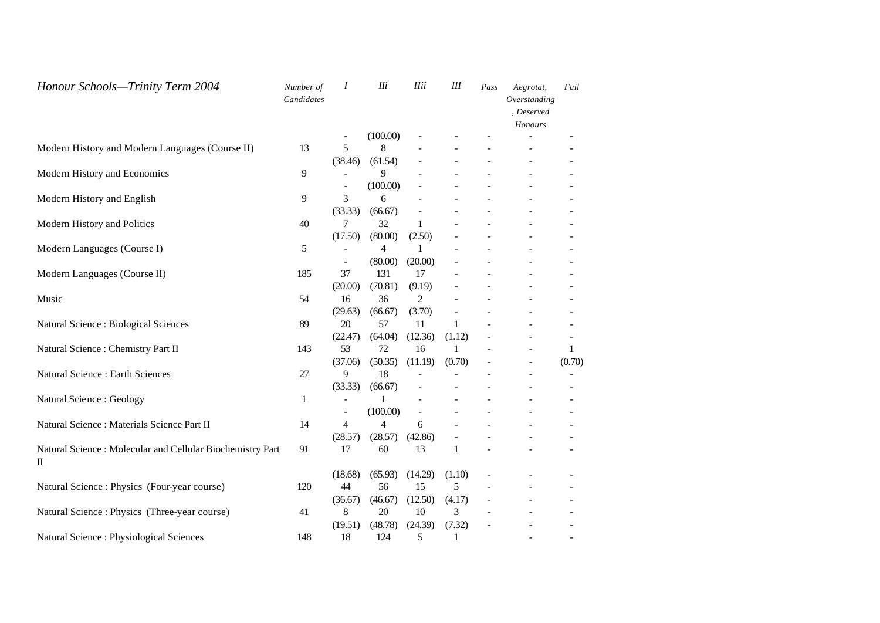| Honour Schools-Trinity Term 2004                                                             | Number of<br>Candidates | Ι       | IIi            | <b>IIii</b>    | $I\!I\!I$ | Pass | Aegrotat,<br>Overstanding<br>, Deserved<br>Honours | Fail                     |
|----------------------------------------------------------------------------------------------|-------------------------|---------|----------------|----------------|-----------|------|----------------------------------------------------|--------------------------|
|                                                                                              |                         |         | (100.00)       |                |           |      |                                                    |                          |
| Modern History and Modern Languages (Course II)                                              | 13                      | 5       | 8              |                |           |      |                                                    |                          |
|                                                                                              |                         | (38.46) | (61.54)        |                |           |      |                                                    |                          |
| Modern History and Economics                                                                 | 9                       |         | 9              |                |           |      |                                                    |                          |
|                                                                                              |                         |         | (100.00)       |                |           |      |                                                    |                          |
| Modern History and English                                                                   | 9                       | 3       | 6              |                |           |      |                                                    |                          |
|                                                                                              |                         | (33.33) | (66.67)        |                |           |      |                                                    |                          |
| Modern History and Politics                                                                  | 40                      | 7       | 32             | 1              |           |      |                                                    |                          |
|                                                                                              |                         | (17.50) | (80.00)        | (2.50)         |           |      |                                                    |                          |
| Modern Languages (Course I)                                                                  | 5                       |         | 4              |                |           |      |                                                    |                          |
|                                                                                              |                         |         | (80.00)        | (20.00)        |           |      |                                                    |                          |
| Modern Languages (Course II)                                                                 | 185                     | 37      | 131            | 17             |           |      |                                                    |                          |
|                                                                                              |                         | (20.00) | (70.81)        | (9.19)         |           |      |                                                    |                          |
| Music                                                                                        | 54                      | 16      | 36             | 2              |           |      |                                                    |                          |
|                                                                                              |                         | (29.63) | (66.67)        | (3.70)         |           |      |                                                    |                          |
| <b>Natural Science : Biological Sciences</b>                                                 | 89                      | 20      | 57             | 11             | 1         |      |                                                    |                          |
|                                                                                              |                         | (22.47) | (64.04)        | (12.36)        | (1.12)    |      |                                                    | $\overline{\phantom{a}}$ |
| Natural Science : Chemistry Part II                                                          | 143                     | 53      | 72             | 16             | 1         |      |                                                    | 1                        |
|                                                                                              |                         | (37.06) | (50.35)        | (11.19)        | (0.70)    |      | ÷                                                  | (0.70)                   |
| <b>Natural Science: Earth Sciences</b>                                                       | 27                      | 9       | 18             |                |           |      | ÷                                                  | $\overline{\phantom{a}}$ |
|                                                                                              |                         | (33.33) | (66.67)        |                |           |      |                                                    | $\overline{a}$           |
| Natural Science: Geology                                                                     | 1                       |         | 1              |                |           |      |                                                    | $\overline{\phantom{a}}$ |
|                                                                                              |                         |         | (100.00)       | $\overline{a}$ |           |      |                                                    | $\overline{\phantom{a}}$ |
| Natural Science : Materials Science Part II                                                  | 14                      | 4       | $\overline{4}$ | 6              |           |      |                                                    |                          |
|                                                                                              |                         | (28.57) | (28.57)        | (42.86)        |           |      |                                                    |                          |
| Natural Science: Molecular and Cellular Biochemistry Part<br>$\mathop{\mathrm{II}}\nolimits$ | 91                      | 17      | 60             | 13             | 1         |      |                                                    |                          |
|                                                                                              |                         | (18.68) | (65.93)        | (14.29)        | (1.10)    |      |                                                    |                          |
| Natural Science : Physics (Four-year course)                                                 | 120                     | 44      | 56             | 15             | 5         |      |                                                    |                          |
|                                                                                              |                         | (36.67) | (46.67)        | (12.50)        | (4.17)    |      |                                                    |                          |
| Natural Science : Physics (Three-year course)                                                | 41                      | 8       | 20             | 10             | 3         |      |                                                    |                          |
|                                                                                              |                         | (19.51) | (48.78)        | (24.39)        | (7.32)    |      |                                                    |                          |
| Natural Science : Physiological Sciences                                                     | 148                     | 18      | 124            | 5              | 1         |      |                                                    |                          |